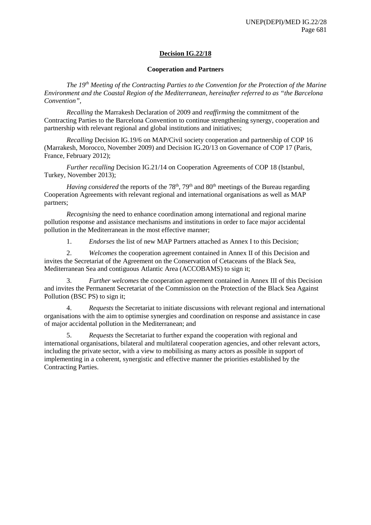# **Decision IG.22/18**

### **Cooperation and Partners**

*The 19th Meeting of the Contracting Parties to the Convention for the Protection of the Marine Environment and the Coastal Region of the Mediterranean, hereinafter referred to as "the Barcelona Convention",*

*Recalling* the Marrakesh Declaration of 2009 and *reaffirming* the commitment of the Contracting Parties to the Barcelona Convention to continue strengthening synergy, cooperation and partnership with relevant regional and global institutions and initiatives;

*Recalling* Decision IG.19/6 on MAP/Civil society cooperation and partnership of COP 16 (Marrakesh, Morocco, November 2009) and Decision IG.20/13 on Governance of COP 17 (Paris, France, February 2012);

*Further recalling* Decision IG.21/14 on Cooperation Agreements of COP 18 (Istanbul, Turkey, November 2013);

*Having considered* the reports of the 78<sup>th</sup>, 79<sup>th</sup> and 80<sup>th</sup> meetings of the Bureau regarding Cooperation Agreements with relevant regional and international organisations as well as MAP partners;

*Recognising* the need to enhance coordination among international and regional marine pollution response and assistance mechanisms and institutions in order to face major accidental pollution in the Mediterranean in the most effective manner;

1. *Endorses* the list of new MAP Partners attached as Annex I to this Decision;

2. *Welcomes* the cooperation agreement contained in Annex II of this Decision and invites the Secretariat of the Agreement on the Conservation of Cetaceans of the Black Sea, Mediterranean Sea and contiguous Atlantic Area (ACCOBAMS) to sign it;

3. *Further welcomes* the cooperation agreement contained in Annex III of this Decision and invites the Permanent Secretariat of the Commission on the Protection of the Black Sea Against Pollution (BSC PS) to sign it;

4. *Requests* the Secretariat to initiate discussions with relevant regional and international organisations with the aim to optimise synergies and coordination on response and assistance in case of major accidental pollution in the Mediterranean; and

5. *Requests* the Secretariat to further expand the cooperation with regional and international organisations, bilateral and multilateral cooperation agencies, and other relevant actors, including the private sector, with a view to mobilising as many actors as possible in support of implementing in a coherent, synergistic and effective manner the priorities established by the Contracting Parties.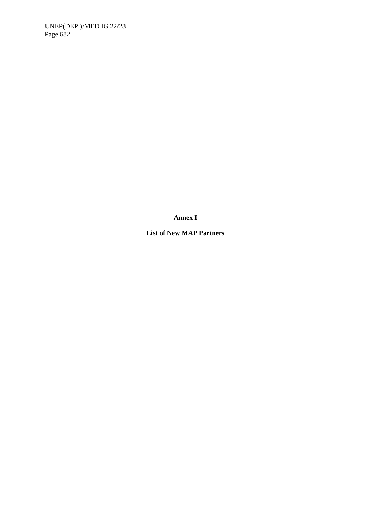**Annex I**

**List of New MAP Partners**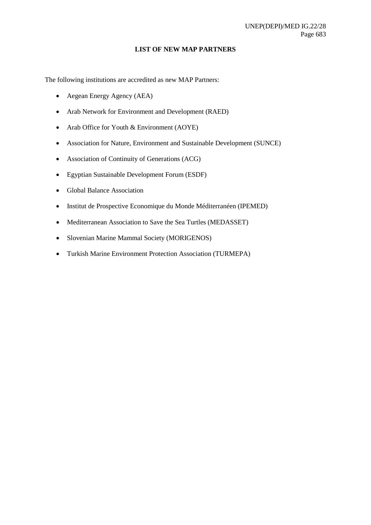#### **LIST OF NEW MAP PARTNERS**

The following institutions are accredited as new MAP Partners:

- Aegean Energy Agency (AEA)
- Arab Network for Environment and Development (RAED)
- Arab Office for Youth & Environment (AOYE)
- Association for Nature, Environment and Sustainable Development (SUNCE)
- Association of Continuity of Generations (ACG)
- Egyptian Sustainable Development Forum (ESDF)
- Global Balance Association
- Institut de Prospective Economique du Monde Méditerranéen (IPEMED)
- Mediterranean Association to Save the Sea Turtles (MEDASSET)
- Slovenian Marine Mammal Society (MORIGENOS)
- Turkish Marine Environment Protection Association (TURMEPA)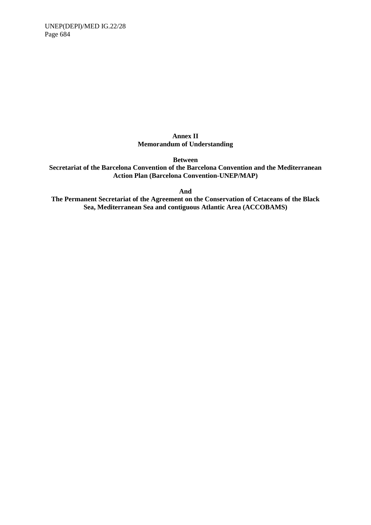## **Annex II Memorandum of Understanding**

**Between** 

**Secretariat of the Barcelona Convention of the Barcelona Convention and the Mediterranean Action Plan (Barcelona Convention-UNEP/MAP)**

**And** 

**The Permanent Secretariat of the Agreement on the Conservation of Cetaceans of the Black Sea, Mediterranean Sea and contiguous Atlantic Area (ACCOBAMS)**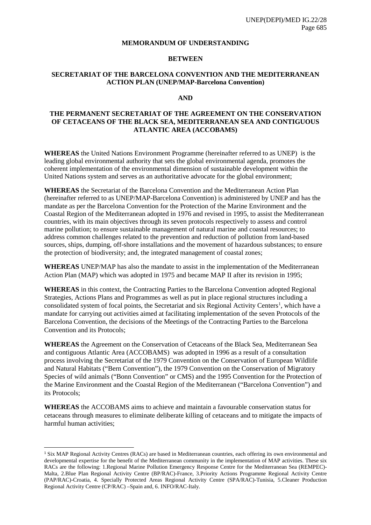#### **MEMORANDUM OF UNDERSTANDING**

### **BETWEEN**

### **SECRETARIAT OF THE BARCELONA CONVENTION AND THE MEDITERRANEAN ACTION PLAN (UNEP/MAP-Barcelona Convention)**

#### **AND**

### **THE PERMANENT SECRETARIAT OF THE AGREEMENT ON THE CONSERVATION OF CETACEANS OF THE BLACK SEA, MEDITERRANEAN SEA AND CONTIGUOUS ATLANTIC AREA (ACCOBAMS)**

**WHEREAS** the United Nations Environment Programme (hereinafter referred to as UNEP) is the leading global environmental authority that sets the global environmental agenda, promotes the coherent implementation of the environmental dimension of sustainable development within the United Nations system and serves as an authoritative advocate for the global environment;

**WHEREAS** the Secretariat of the Barcelona Convention and the Mediterranean Action Plan (hereinafter referred to as UNEP/MAP-Barcelona Convention) is administered by UNEP and has the mandate as per the Barcelona Convention for the Protection of the Marine Environment and the Coastal Region of the Mediterranean adopted in 1976 and revised in 1995, to assist the Mediterranean countries, with its main objectives through its seven protocols respectively to assess and control marine pollution; to ensure sustainable management of natural marine and coastal resources; to address common challenges related to the prevention and reduction of pollution from land-based sources, ships, dumping, off-shore installations and the movement of hazardous substances; to ensure the protection of biodiversity; and, the integrated management of coastal zones;

**WHEREAS** UNEP/MAP has also the mandate to assist in the implementation of the Mediterranean Action Plan (MAP) which was adopted in 1975 and became MAP II after its revision in 1995;

**WHEREAS** in this context, the Contracting Parties to the Barcelona Convention adopted Regional Strategies, Actions Plans and Programmes as well as put in place regional structures including a consolidated system of focal points, the Secretariat and six Regional Activity Centers<sup>[1](#page-4-0)</sup>, which have a mandate for carrying out activities aimed at facilitating implementation of the seven Protocols of the Barcelona Convention, the decisions of the Meetings of the Contracting Parties to the Barcelona Convention and its Protocols;

**WHEREAS** the Agreement on the Conservation of Cetaceans of the Black Sea, Mediterranean Sea and contiguous Atlantic Area (ACCOBAMS) was adopted in 1996 as a result of a consultation process involving the Secretariat of the 1979 Convention on the Conservation of European Wildlife and Natural Habitats ("Bern Convention"), the 1979 Convention on the Conservation of Migratory Species of wild animals ("Bonn Convention" or CMS) and the 1995 Convention for the Protection of the Marine Environment and the Coastal Region of the Mediterranean ("Barcelona Convention") and its Protocols;

**WHEREAS** the ACCOBAMS aims to achieve and maintain a favourable conservation status for cetaceans through measures to eliminate deliberate killing of cetaceans and to mitigate the impacts of harmful human activities;

1

<span id="page-4-0"></span><sup>1</sup> Six MAP Regional Activity Centres (RACs) are based in Mediterranean countries, each offering its own environmental and developmental expertise for the benefit of the Mediterranean community in the implementation of MAP activities. These six RACs are the following: 1.Regional Marine Pollution Emergency Response Centre for the Mediterranean Sea (REMPEC)- Malta, 2.Blue Plan Regional Activity Centre (BP/RAC)-France, 3.Priority Actions Programme Regional Activity Centre (PAP/RAC)-Croatia, 4. Specially Protected Areas Regional Activity Centre (SPA/RAC)-Tunisia, 5.Cleaner Production Regional Activity Centre (CP/RAC) –Spain and, 6. INFO/RAC-Italy.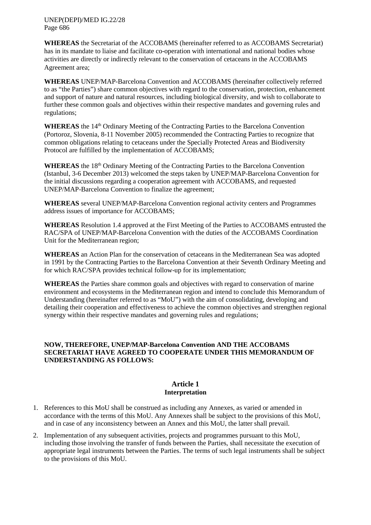**WHEREAS** the Secretariat of the ACCOBAMS (hereinafter referred to as ACCOBAMS Secretariat) has in its mandate to liaise and facilitate co-operation with international and national bodies whose activities are directly or indirectly relevant to the conservation of cetaceans in the ACCOBAMS Agreement area;

**WHEREAS** UNEP/MAP-Barcelona Convention and ACCOBAMS (hereinafter collectively referred to as "the Parties") share common objectives with regard to the conservation, protection, enhancement and support of nature and natural resources, including biological diversity, and wish to collaborate to further these common goals and objectives within their respective mandates and governing rules and regulations;

WHEREAS the 14<sup>th</sup> Ordinary Meeting of the Contracting Parties to the Barcelona Convention (Portoroz, Slovenia, 8-11 November 2005) recommended the Contracting Parties to recognize that common obligations relating to cetaceans under the Specially Protected Areas and Biodiversity Protocol are fulfilled by the implementation of ACCOBAMS;

WHEREAS the 18<sup>th</sup> Ordinary Meeting of the Contracting Parties to the Barcelona Convention (Istanbul, 3-6 December 2013) welcomed the steps taken by UNEP/MAP-Barcelona Convention for the initial discussions regarding a cooperation agreement with ACCOBAMS, and requested UNEP/MAP-Barcelona Convention to finalize the agreement;

**WHEREAS** several UNEP/MAP-Barcelona Convention regional activity centers and Programmes address issues of importance for ACCOBAMS;

**WHEREAS** Resolution 1.4 approved at the First Meeting of the Parties to ACCOBAMS entrusted the RAC/SPA of UNEP/MAP-Barcelona Convention with the duties of the ACCOBAMS Coordination Unit for the Mediterranean region;

**WHEREAS** an Action Plan for the conservation of cetaceans in the Mediterranean Sea was adopted in 1991 by the Contracting Parties to the Barcelona Convention at their Seventh Ordinary Meeting and for which RAC/SPA provides technical follow-up for its implementation;

**WHEREAS** the Parties share common goals and objectives with regard to conservation of marine environment and ecosystems in the Mediterranean region and intend to conclude this Memorandum of Understanding (hereinafter referred to as "MoU") with the aim of consolidating, developing and detailing their cooperation and effectiveness to achieve the common objectives and strengthen regional synergy within their respective mandates and governing rules and regulations;

### **NOW, THEREFORE, UNEP/MAP-Barcelona Convention AND THE ACCOBAMS SECRETARIAT HAVE AGREED TO COOPERATE UNDER THIS MEMORANDUM OF UNDERSTANDING AS FOLLOWS:**

### **Article 1 Interpretation**

- 1. References to this MoU shall be construed as including any Annexes, as varied or amended in accordance with the terms of this MoU. Any Annexes shall be subject to the provisions of this MoU, and in case of any inconsistency between an Annex and this MoU, the latter shall prevail.
- 2. Implementation of any subsequent activities, projects and programmes pursuant to this MoU, including those involving the transfer of funds between the Parties, shall necessitate the execution of appropriate legal instruments between the Parties. The terms of such legal instruments shall be subject to the provisions of this MoU.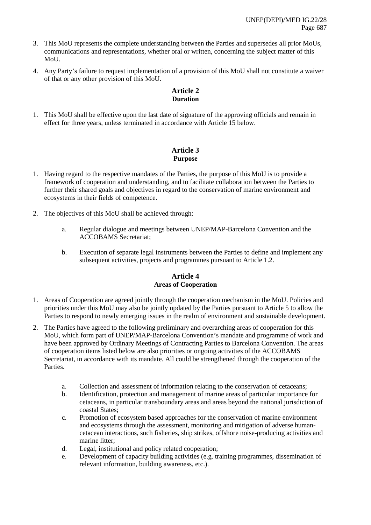- 3. This MoU represents the complete understanding between the Parties and supersedes all prior MoUs, communications and representations, whether oral or written, concerning the subject matter of this MoU.
- 4. Any Party's failure to request implementation of a provision of this MoU shall not constitute a waiver of that or any other provision of this MoU.

# **Article 2 Duration**

1. This MoU shall be effective upon the last date of signature of the approving officials and remain in effect for three years, unless terminated in accordance with Article 15 below.

# **Article 3 Purpose**

- 1. Having regard to the respective mandates of the Parties, the purpose of this MoU is to provide a framework of cooperation and understanding, and to facilitate collaboration between the Parties to further their shared goals and objectives in regard to the conservation of marine environment and ecosystems in their fields of competence.
- 2. The objectives of this MoU shall be achieved through:
	- a. Regular dialogue and meetings between UNEP/MAP-Barcelona Convention and the ACCOBAMS Secretariat;
	- b. Execution of separate legal instruments between the Parties to define and implement any subsequent activities, projects and programmes pursuant to Article 1.2.

# **Article 4 Areas of Cooperation**

- 1. Areas of Cooperation are agreed jointly through the cooperation mechanism in the MoU. Policies and priorities under this MoU may also be jointly updated by the Parties pursuant to Article 5 to allow the Parties to respond to newly emerging issues in the realm of environment and sustainable development.
- 2. The Parties have agreed to the following preliminary and overarching areas of cooperation for this MoU, which form part of UNEP/MAP-Barcelona Convention's mandate and programme of work and have been approved by Ordinary Meetings of Contracting Parties to Barcelona Convention. The areas of cooperation items listed below are also priorities or ongoing activities of the ACCOBAMS Secretariat, in accordance with its mandate. All could be strengthened through the cooperation of the Parties.
	- a. Collection and assessment of information relating to the conservation of cetaceans;
	- b. Identification, protection and management of marine areas of particular importance for cetaceans, in particular transboundary areas and areas beyond the national jurisdiction of coastal States;
	- c. Promotion of ecosystem based approaches for the conservation of marine environment and ecosystems through the assessment, monitoring and mitigation of adverse humancetacean interactions, such fisheries, ship strikes, offshore noise-producing activities and marine litter;
	- d. Legal, institutional and policy related cooperation;
	- e. Development of capacity building activities (e.g. training programmes, dissemination of relevant information, building awareness, etc.).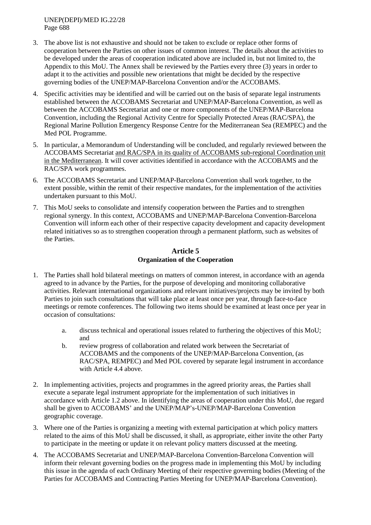- 3. The above list is not exhaustive and should not be taken to exclude or replace other forms of cooperation between the Parties on other issues of common interest. The details about the activities to be developed under the areas of cooperation indicated above are included in, but not limited to, the Appendix to this MoU. The Annex shall be reviewed by the Parties every three (3) years in order to adapt it to the activities and possible new orientations that might be decided by the respective governing bodies of the UNEP/MAP-Barcelona Convention and/or the ACCOBAMS.
- 4. Specific activities may be identified and will be carried out on the basis of separate legal instruments established between the ACCOBAMS Secretariat and UNEP/MAP-Barcelona Convention, as well as between the ACCOBAMS Secretariat and one or more components of the UNEP/MAP-Barcelona Convention, including the Regional Activity Centre for Specially Protected Areas (RAC/SPA), the Regional Marine Pollution Emergency Response Centre for the Mediterranean Sea (REMPEC) and the Med POL Programme.
- 5. In particular, a Memorandum of Understanding will be concluded, and regularly reviewed between the ACCOBAMS Secretariat and RAC/SPA in its quality of ACCOBAMS sub-regional Coordination unit in the Mediterranean. It will cover activities identified in accordance with the ACCOBAMS and the RAC/SPA work programmes.
- 6. The ACCOBAMS Secretariat and UNEP/MAP-Barcelona Convention shall work together, to the extent possible, within the remit of their respective mandates, for the implementation of the activities undertaken pursuant to this MoU.
- 7. This MoU seeks to consolidate and intensify cooperation between the Parties and to strengthen regional synergy. In this context, ACCOBAMS and UNEP/MAP-Barcelona Convention-Barcelona Convention will inform each other of their respective capacity development and capacity development related initiatives so as to strengthen cooperation through a permanent platform, such as websites of the Parties.

# **Article 5 Organization of the Cooperation**

- 1. The Parties shall hold bilateral meetings on matters of common interest, in accordance with an agenda agreed to in advance by the Parties, for the purpose of developing and monitoring collaborative activities. Relevant international organizations and relevant initiatives/projects may be invited by both Parties to join such consultations that will take place at least once per year, through face-to-face meetings or remote conferences. The following two items should be examined at least once per year in occasion of consultations:
	- a. discuss technical and operational issues related to furthering the objectives of this MoU; and
	- b. review progress of collaboration and related work between the Secretariat of ACCOBAMS and the components of the UNEP/MAP-Barcelona Convention, (as RAC/SPA, REMPEC) and Med POL covered by separate legal instrument in accordance with Article 4.4 above.
- 2. In implementing activities, projects and programmes in the agreed priority areas, the Parties shall execute a separate legal instrument appropriate for the implementation of such initiatives in accordance with Article 1.2 above. In identifying the areas of cooperation under this MoU, due regard shall be given to ACCOBAMS' and the UNEP/MAP's-UNEP/MAP-Barcelona Convention geographic coverage.
- 3. Where one of the Parties is organizing a meeting with external participation at which policy matters related to the aims of this MoU shall be discussed, it shall, as appropriate, either invite the other Party to participate in the meeting or update it on relevant policy matters discussed at the meeting.
- 4. The ACCOBAMS Secretariat and UNEP/MAP-Barcelona Convention-Barcelona Convention will inform their relevant governing bodies on the progress made in implementing this MoU by including this issue in the agenda of each Ordinary Meeting of their respective governing bodies (Meeting of the Parties for ACCOBAMS and Contracting Parties Meeting for UNEP/MAP-Barcelona Convention).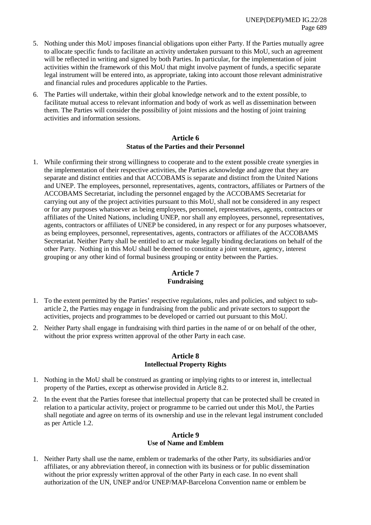- 5. Nothing under this MoU imposes financial obligations upon either Party. If the Parties mutually agree to allocate specific funds to facilitate an activity undertaken pursuant to this MoU, such an agreement will be reflected in writing and signed by both Parties. In particular, for the implementation of joint activities within the framework of this MoU that might involve payment of funds, a specific separate legal instrument will be entered into, as appropriate, taking into account those relevant administrative and financial rules and procedures applicable to the Parties.
- 6. The Parties will undertake, within their global knowledge network and to the extent possible, to facilitate mutual access to relevant information and body of work as well as dissemination between them. The Parties will consider the possibility of joint missions and the hosting of joint training activities and information sessions.

#### **Article 6 Status of the Parties and their Personnel**

1. While confirming their strong willingness to cooperate and to the extent possible create synergies in the implementation of their respective activities, the Parties acknowledge and agree that they are separate and distinct entities and that ACCOBAMS is separate and distinct from the United Nations and UNEP. The employees, personnel, representatives, agents, contractors, affiliates or Partners of the ACCOBAMS Secretariat, including the personnel engaged by the ACCOBAMS Secretariat for carrying out any of the project activities pursuant to this MoU, shall not be considered in any respect or for any purposes whatsoever as being employees, personnel, representatives, agents, contractors or affiliates of the United Nations, including UNEP, nor shall any employees, personnel, representatives, agents, contractors or affiliates of UNEP be considered, in any respect or for any purposes whatsoever, as being employees, personnel, representatives, agents, contractors or affiliates of the ACCOBAMS Secretariat. Neither Party shall be entitled to act or make legally binding declarations on behalf of the other Party. Nothing in this MoU shall be deemed to constitute a joint venture, agency, interest grouping or any other kind of formal business grouping or entity between the Parties.

# **Article 7 Fundraising**

- 1. To the extent permitted by the Parties' respective regulations, rules and policies, and subject to subarticle 2, the Parties may engage in fundraising from the public and private sectors to support the activities, projects and programmes to be developed or carried out pursuant to this MoU.
- 2. Neither Party shall engage in fundraising with third parties in the name of or on behalf of the other, without the prior express written approval of the other Party in each case.

#### **Article 8 Intellectual Property Rights**

- 1. Nothing in the MoU shall be construed as granting or implying rights to or interest in, intellectual property of the Parties, except as otherwise provided in Article 8.2.
- 2. In the event that the Parties foresee that intellectual property that can be protected shall be created in relation to a particular activity, project or programme to be carried out under this MoU, the Parties shall negotiate and agree on terms of its ownership and use in the relevant legal instrument concluded as per Article 1.2.

### **Article 9 Use of Name and Emblem**

1. Neither Party shall use the name, emblem or trademarks of the other Party, its subsidiaries and/or affiliates, or any abbreviation thereof, in connection with its business or for public dissemination without the prior expressly written approval of the other Party in each case. In no event shall authorization of the UN, UNEP and/or UNEP/MAP-Barcelona Convention name or emblem be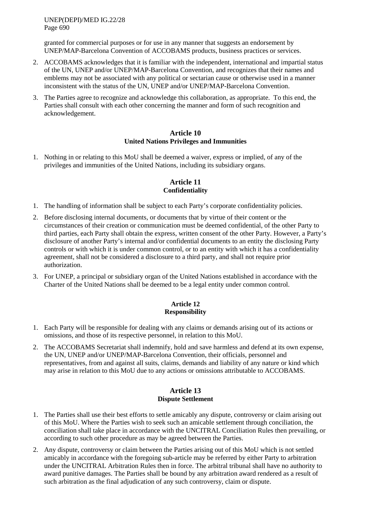granted for commercial purposes or for use in any manner that suggests an endorsement by UNEP/MAP-Barcelona Convention of ACCOBAMS products, business practices or services.

- 2. ACCOBAMS acknowledges that it is familiar with the independent, international and impartial status of the UN, UNEP and/or UNEP/MAP-Barcelona Convention, and recognizes that their names and emblems may not be associated with any political or sectarian cause or otherwise used in a manner inconsistent with the status of the UN, UNEP and/or UNEP/MAP-Barcelona Convention.
- 3. The Parties agree to recognize and acknowledge this collaboration, as appropriate. To this end, the Parties shall consult with each other concerning the manner and form of such recognition and acknowledgement.

### **Article 10 United Nations Privileges and Immunities**

1. Nothing in or relating to this MoU shall be deemed a waiver, express or implied, of any of the privileges and immunities of the United Nations, including its subsidiary organs.

# **Article 11 Confidentiality**

- 1. The handling of information shall be subject to each Party's corporate confidentiality policies.
- 2. Before disclosing internal documents, or documents that by virtue of their content or the circumstances of their creation or communication must be deemed confidential, of the other Party to third parties, each Party shall obtain the express, written consent of the other Party. However, a Party's disclosure of another Party's internal and/or confidential documents to an entity the disclosing Party controls or with which it is under common control, or to an entity with which it has a confidentiality agreement, shall not be considered a disclosure to a third party, and shall not require prior authorization.
- 3. For UNEP, a principal or subsidiary organ of the United Nations established in accordance with the Charter of the United Nations shall be deemed to be a legal entity under common control.

## **Article 12 Responsibility**

- 1. Each Party will be responsible for dealing with any claims or demands arising out of its actions or omissions, and those of its respective personnel, in relation to this MoU.
- 2. The ACCOBAMS Secretariat shall indemnify, hold and save harmless and defend at its own expense, the UN, UNEP and/or UNEP/MAP-Barcelona Convention, their officials, personnel and representatives, from and against all suits, claims, demands and liability of any nature or kind which may arise in relation to this MoU due to any actions or omissions attributable to ACCOBAMS.

### **Article 13 Dispute Settlement**

- 1. The Parties shall use their best efforts to settle amicably any dispute, controversy or claim arising out of this MoU. Where the Parties wish to seek such an amicable settlement through conciliation, the conciliation shall take place in accordance with the UNCITRAL Conciliation Rules then prevailing, or according to such other procedure as may be agreed between the Parties.
- 2. Any dispute, controversy or claim between the Parties arising out of this MoU which is not settled amicably in accordance with the foregoing sub-article may be referred by either Party to arbitration under the UNCITRAL Arbitration Rules then in force. The arbitral tribunal shall have no authority to award punitive damages. The Parties shall be bound by any arbitration award rendered as a result of such arbitration as the final adjudication of any such controversy, claim or dispute.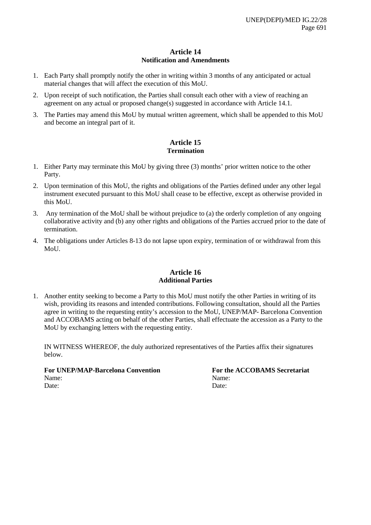# **Article 14 Notification and Amendments**

- 1. Each Party shall promptly notify the other in writing within 3 months of any anticipated or actual material changes that will affect the execution of this MoU.
- 2. Upon receipt of such notification, the Parties shall consult each other with a view of reaching an agreement on any actual or proposed change(s) suggested in accordance with Article 14.1.
- 3. The Parties may amend this MoU by mutual written agreement, which shall be appended to this MoU and become an integral part of it.

# **Article 15 Termination**

- 1. Either Party may terminate this MoU by giving three (3) months' prior written notice to the other Party.
- 2. Upon termination of this MoU, the rights and obligations of the Parties defined under any other legal instrument executed pursuant to this MoU shall cease to be effective, except as otherwise provided in this MoU.
- 3. Any termination of the MoU shall be without prejudice to (a) the orderly completion of any ongoing collaborative activity and (b) any other rights and obligations of the Parties accrued prior to the date of termination.
- 4. The obligations under Articles 8-13 do not lapse upon expiry, termination of or withdrawal from this MoU.

# **Article 16 Additional Parties**

1. Another entity seeking to become a Party to this MoU must notify the other Parties in writing of its wish, providing its reasons and intended contributions. Following consultation, should all the Parties agree in writing to the requesting entity's accession to the MoU, UNEP/MAP- Barcelona Convention and ACCOBAMS acting on behalf of the other Parties, shall effectuate the accession as a Party to the MoU by exchanging letters with the requesting entity.

IN WITNESS WHEREOF, the duly authorized representatives of the Parties affix their signatures below.

**For UNEP/MAP-Barcelona Convention For the ACCOBAMS Secretariat** Name: Name: Date: Date: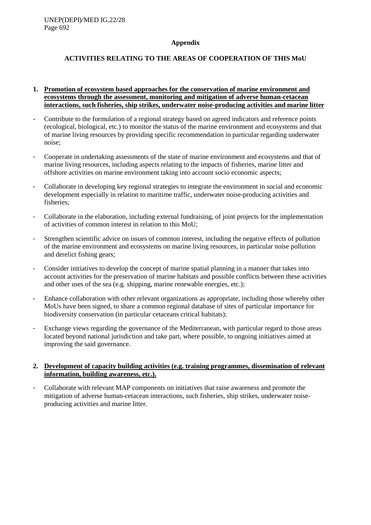### **Appendix**

# **ACTIVITIES RELATING TO THE AREAS OF COOPERATION OF THIS MoU**

- **1. Promotion of ecosystem based approaches for the conservation of marine environment and ecosystems through the assessment, monitoring and mitigation of adverse human-cetacean interactions, such fisheries, ship strikes, underwater noise-producing activities and marine litter**
- Contribute to the formulation of a regional strategy based on agreed indicators and reference points (ecological, biological, etc.) to monitor the status of the marine environment and ecosystems and that of marine living resources by providing specific recommendation in particular regarding underwater noise;
- Cooperate in undertaking assessments of the state of marine environment and ecosystems and that of marine living resources, including aspects relating to the impacts of fisheries, marine litter and offshore activities on marine environment taking into account socio economic aspects;
- Collaborate in developing key regional strategies to integrate the environment in social and economic development especially in relation to maritime traffic, underwater noise-producing activities and fisheries;
- Collaborate in the elaboration, including external fundraising, of joint projects for the implementation of activities of common interest in relation to this MoU;
- Strengthen scientific advice on issues of common interest, including the negative effects of pollution of the marine environment and ecosystems on marine living resources, in particular noise pollution and derelict fishing gears;
- Consider initiatives to develop the concept of marine spatial planning in a manner that takes into account activities for the preservation of marine habitats and possible conflicts between these activities and other uses of the sea (e.g. shipping, marine renewable energies, etc.);
- Enhance collaboration with other relevant organizations as appropriate, including those whereby other MoUs have been signed, to share a common regional database of sites of particular importance for biodiversity conservation (in particular cetaceans critical habitats);
- Exchange views regarding the governance of the Mediterranean, with particular regard to those areas located beyond national jurisdiction and take part, where possible, to ongoing initiatives aimed at improving the said governance.

## **2. Development of capacity building activities (e.g. training programmes, dissemination of relevant information, building awareness, etc.).**

- Collaborate with relevant MAP components on initiatives that raise awareness and promote the mitigation of adverse human-cetacean interactions, such fisheries, ship strikes, underwater noiseproducing activities and marine litter.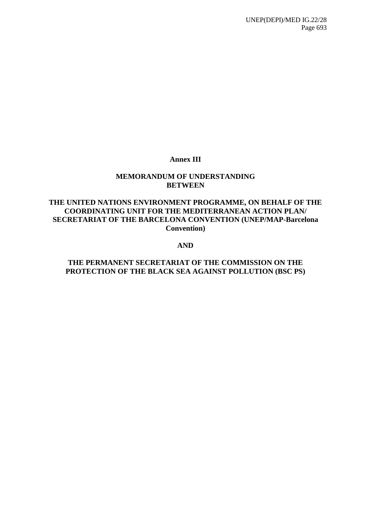# **Annex III**

# **MEMORANDUM OF UNDERSTANDING BETWEEN**

# **THE UNITED NATIONS ENVIRONMENT PROGRAMME, ON BEHALF OF THE COORDINATING UNIT FOR THE MEDITERRANEAN ACTION PLAN/ SECRETARIAT OF THE BARCELONA CONVENTION (UNEP/MAP-Barcelona Convention)**

# **AND**

# **THE PERMANENT SECRETARIAT OF THE COMMISSION ON THE PROTECTION OF THE BLACK SEA AGAINST POLLUTION (BSC PS)**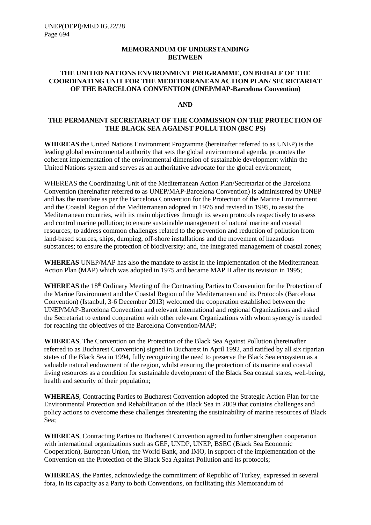#### **MEMORANDUM OF UNDERSTANDING BETWEEN**

### **THE UNITED NATIONS ENVIRONMENT PROGRAMME, ON BEHALF OF THE COORDINATING UNIT FOR THE MEDITERRANEAN ACTION PLAN/ SECRETARIAT OF THE BARCELONA CONVENTION (UNEP/MAP-Barcelona Convention)**

#### **AND**

### **THE PERMANENT SECRETARIAT OF THE COMMISSION ON THE PROTECTION OF THE BLACK SEA AGAINST POLLUTION (BSC PS)**

**WHEREAS** the United Nations Environment Programme (hereinafter referred to as UNEP) is the leading global environmental authority that sets the global environmental agenda, promotes the coherent implementation of the environmental dimension of sustainable development within the United Nations system and serves as an authoritative advocate for the global environment;

WHEREAS the Coordinating Unit of the Mediterranean Action Plan/Secretariat of the Barcelona Convention (hereinafter referred to as UNEP/MAP-Barcelona Convention) is administered by UNEP and has the mandate as per the Barcelona Convention for the Protection of the Marine Environment and the Coastal Region of the Mediterranean adopted in 1976 and revised in 1995, to assist the Mediterranean countries, with its main objectives through its seven protocols respectively to assess and control marine pollution; to ensure sustainable management of natural marine and coastal resources; to address common challenges related to the prevention and reduction of pollution from land-based sources, ships, dumping, off-shore installations and the movement of hazardous substances; to ensure the protection of biodiversity; and, the integrated management of coastal zones;

**WHEREAS** UNEP/MAP has also the mandate to assist in the implementation of the Mediterranean Action Plan (MAP) which was adopted in 1975 and became MAP II after its revision in 1995;

WHEREAS the 18<sup>th</sup> Ordinary Meeting of the Contracting Parties to Convention for the Protection of the Marine Environment and the Coastal Region of the Mediterranean and its Protocols (Barcelona Convention) (Istanbul, 3-6 December 2013) welcomed the cooperation established between the UNEP/MAP-Barcelona Convention and relevant international and regional Organizations and asked the Secretariat to extend cooperation with other relevant Organizations with whom synergy is needed for reaching the objectives of the Barcelona Convention/MAP;

**WHEREAS**, The Convention on the Protection of the Black Sea Against Pollution (hereinafter referred to as Bucharest Convention) signed in Bucharest in April 1992, and ratified by all six riparian states of the Black Sea in 1994, fully recognizing the need to preserve the Black Sea ecosystem as a valuable natural endowment of the region, whilst ensuring the protection of its marine and coastal living resources as a condition for sustainable development of the Black Sea coastal states, well-being, health and security of their population;

**WHEREAS**, Contracting Parties to Bucharest Convention adopted the Strategic Action Plan for the Environmental Protection and Rehabilitation of the Black Sea in 2009 that contains challenges and policy actions to overcome these challenges threatening the sustainability of marine resources of Black Sea;

**WHEREAS**, Contracting Parties to Bucharest Convention agreed to further strengthen cooperation with international organizations such as GEF, UNDP, UNEP, BSEC (Black Sea Economic Cooperation), European Union, the World Bank, and IMO, in support of the implementation of the Convention on the Protection of the Black Sea Against Pollution and its protocols;

**WHEREAS**, the Parties, acknowledge the commitment of Republic of Turkey, expressed in several fora, in its capacity as a Party to both Conventions, on facilitating this Memorandum of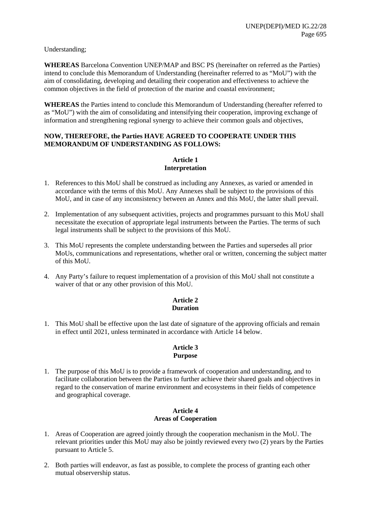Understanding;

**WHEREAS** Barcelona Convention UNEP/MAP and BSC PS (hereinafter on referred as the Parties) intend to conclude this Memorandum of Understanding (hereinafter referred to as "MoU") with the aim of consolidating, developing and detailing their cooperation and effectiveness to achieve the common objectives in the field of protection of the marine and coastal environment;

**WHEREAS** the Parties intend to conclude this Memorandum of Understanding (hereafter referred to as "MoU") with the aim of consolidating and intensifying their cooperation, improving exchange of information and strengthening regional synergy to achieve their common goals and objectives,

### **NOW, THEREFORE, the Parties HAVE AGREED TO COOPERATE UNDER THIS MEMORANDUM OF UNDERSTANDING AS FOLLOWS:**

## **Article 1 Interpretation**

- 1. References to this MoU shall be construed as including any Annexes, as varied or amended in accordance with the terms of this MoU. Any Annexes shall be subject to the provisions of this MoU, and in case of any inconsistency between an Annex and this MoU, the latter shall prevail.
- 2. Implementation of any subsequent activities, projects and programmes pursuant to this MoU shall necessitate the execution of appropriate legal instruments between the Parties. The terms of such legal instruments shall be subject to the provisions of this MoU.
- 3. This MoU represents the complete understanding between the Parties and supersedes all prior MoUs, communications and representations, whether oral or written, concerning the subject matter of this MoU.
- 4. Any Party's failure to request implementation of a provision of this MoU shall not constitute a waiver of that or any other provision of this MoU.

## **Article 2 Duration**

1. This MoU shall be effective upon the last date of signature of the approving officials and remain in effect until 2021, unless terminated in accordance with Article 14 below.

## **Article 3 Purpose**

1. The purpose of this MoU is to provide a framework of cooperation and understanding, and to facilitate collaboration between the Parties to further achieve their shared goals and objectives in regard to the conservation of marine environment and ecosystems in their fields of competence and geographical coverage.

### **Article 4 Areas of Cooperation**

- 1. Areas of Cooperation are agreed jointly through the cooperation mechanism in the MoU. The relevant priorities under this MoU may also be jointly reviewed every two (2) years by the Parties pursuant to Article 5.
- 2. Both parties will endeavor, as fast as possible, to complete the process of granting each other mutual observership status.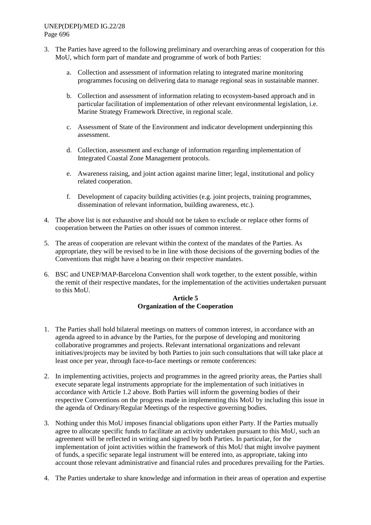- 3. The Parties have agreed to the following preliminary and overarching areas of cooperation for this MoU, which form part of mandate and programme of work of both Parties:
	- a. Collection and assessment of information relating to integrated marine monitoring programmes focusing on delivering data to manage regional seas in sustainable manner.
	- b. Collection and assessment of information relating to ecosystem-based approach and in particular facilitation of implementation of other relevant environmental legislation, i.e. Marine Strategy Framework Directive, in regional scale.
	- c. Assessment of State of the Environment and indicator development underpinning this assessment.
	- d. Collection, assessment and exchange of information regarding implementation of Integrated Coastal Zone Management protocols.
	- e. Awareness raising, and joint action against marine litter; legal, institutional and policy related cooperation.
	- f. Development of capacity building activities (e.g. joint projects, training programmes, dissemination of relevant information, building awareness, etc.).
- 4. The above list is not exhaustive and should not be taken to exclude or replace other forms of cooperation between the Parties on other issues of common interest.
- 5. The areas of cooperation are relevant within the context of the mandates of the Parties. As appropriate, they will be revised to be in line with those decisions of the governing bodies of the Conventions that might have a bearing on their respective mandates.
- 6. BSC and UNEP/MAP-Barcelona Convention shall work together, to the extent possible, within the remit of their respective mandates, for the implementation of the activities undertaken pursuant to this MoU.

## **Article 5 Organization of the Cooperation**

- 1. The Parties shall hold bilateral meetings on matters of common interest, in accordance with an agenda agreed to in advance by the Parties, for the purpose of developing and monitoring collaborative programmes and projects. Relevant international organizations and relevant initiatives/projects may be invited by both Parties to join such consultations that will take place at least once per year, through face-to-face meetings or remote conferences:
- 2. In implementing activities, projects and programmes in the agreed priority areas, the Parties shall execute separate legal instruments appropriate for the implementation of such initiatives in accordance with Article 1.2 above. Both Parties will inform the governing bodies of their respective Conventions on the progress made in implementing this MoU by including this issue in the agenda of Ordinary/Regular Meetings of the respective governing bodies.
- 3. Nothing under this MoU imposes financial obligations upon either Party. If the Parties mutually agree to allocate specific funds to facilitate an activity undertaken pursuant to this MoU, such an agreement will be reflected in writing and signed by both Parties. In particular, for the implementation of joint activities within the framework of this MoU that might involve payment of funds, a specific separate legal instrument will be entered into, as appropriate, taking into account those relevant administrative and financial rules and procedures prevailing for the Parties.
- 4. The Parties undertake to share knowledge and information in their areas of operation and expertise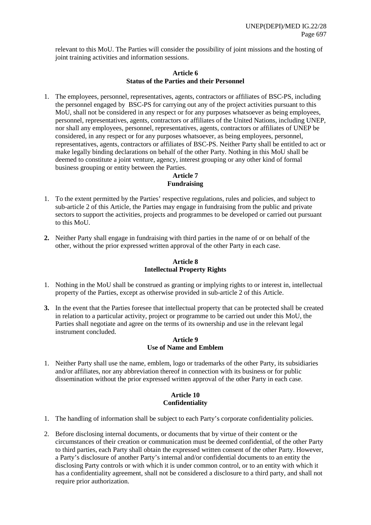relevant to this MoU. The Parties will consider the possibility of joint missions and the hosting of joint training activities and information sessions.

### **Article 6 Status of the Parties and their Personnel**

1. The employees, personnel, representatives, agents, contractors or affiliates of BSC-PS, including the personnel engaged by BSC-PS for carrying out any of the project activities pursuant to this MoU, shall not be considered in any respect or for any purposes whatsoever as being employees, personnel, representatives, agents, contractors or affiliates of the United Nations, including UNEP, nor shall any employees, personnel, representatives, agents, contractors or affiliates of UNEP be considered, in any respect or for any purposes whatsoever, as being employees, personnel, representatives, agents, contractors or affiliates of BSC-PS. Neither Party shall be entitled to act or make legally binding declarations on behalf of the other Party. Nothing in this MoU shall be deemed to constitute a joint venture, agency, interest grouping or any other kind of formal business grouping or entity between the Parties.

# **Article 7 Fundraising**

- 1. To the extent permitted by the Parties' respective regulations, rules and policies, and subject to sub-article 2 of this Article, the Parties may engage in fundraising from the public and private sectors to support the activities, projects and programmes to be developed or carried out pursuant to this MoU.
- **2.** Neither Party shall engage in fundraising with third parties in the name of or on behalf of the other, without the prior expressed written approval of the other Party in each case.

## **Article 8 Intellectual Property Rights**

- 1. Nothing in the MoU shall be construed as granting or implying rights to or interest in, intellectual property of the Parties, except as otherwise provided in sub-article 2 of this Article.
- **3.** In the event that the Parties foresee that intellectual property that can be protected shall be created in relation to a particular activity, project or programme to be carried out under this MoU, the Parties shall negotiate and agree on the terms of its ownership and use in the relevant legal instrument concluded.

## **Article 9 Use of Name and Emblem**

1. Neither Party shall use the name, emblem, logo or trademarks of the other Party, its subsidiaries and/or affiliates, nor any abbreviation thereof in connection with its business or for public dissemination without the prior expressed written approval of the other Party in each case.

# **Article 10 Confidentiality**

- 1. The handling of information shall be subject to each Party's corporate confidentiality policies.
- 2. Before disclosing internal documents, or documents that by virtue of their content or the circumstances of their creation or communication must be deemed confidential, of the other Party to third parties, each Party shall obtain the expressed written consent of the other Party. However, a Party's disclosure of another Party's internal and/or confidential documents to an entity the disclosing Party controls or with which it is under common control, or to an entity with which it has a confidentiality agreement, shall not be considered a disclosure to a third party, and shall not require prior authorization.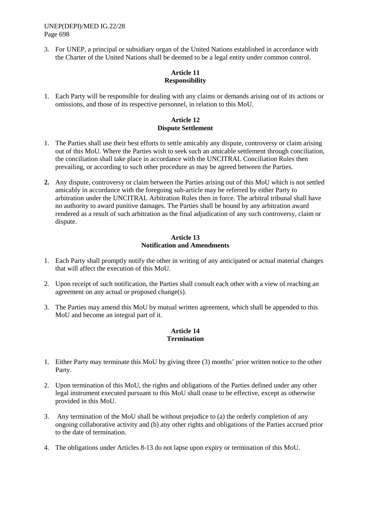3. For UNEP, a principal or subsidiary organ of the United Nations established in accordance with the Charter of the United Nations shall be deemed to be a legal entity under common control.

# **Article 11 Responsibility**

1. Each Party will be responsible for dealing with any claims or demands arising out of its actions or omissions, and those of its respective personnel, in relation to this MoU.

# **Article 12 Dispute Settlement**

- 1. The Parties shall use their best efforts to settle amicably any dispute, controversy or claim arising out of this MoU. Where the Parties wish to seek such an amicable settlement through conciliation, the conciliation shall take place in accordance with the UNCITRAL Conciliation Rules then prevailing, or according to such other procedure as may be agreed between the Parties.
- **2.** Any dispute, controversy or claim between the Parties arising out of this MoU which is not settled amicably in accordance with the foregoing sub-article may be referred by either Party to arbitration under the UNCITRAL Arbitration Rules then in force. The arbitral tribunal shall have no authority to award punitive damages. The Parties shall be bound by any arbitration award rendered as a result of such arbitration as the final adjudication of any such controversy, claim or dispute.

## **Article 13 Notification and Amendments**

- 1. Each Party shall promptly notify the other in writing of any anticipated or actual material changes that will affect the execution of this MoU.
- 2. Upon receipt of such notification, the Parties shall consult each other with a view of reaching an agreement on any actual or proposed change(s).
- 3. The Parties may amend this MoU by mutual written agreement, which shall be appended to this MoU and become an integral part of it.

# **Article 14 Termination**

- 1. Either Party may terminate this MoU by giving three (3) months' prior written notice to the other Party.
- 2. Upon termination of this MoU, the rights and obligations of the Parties defined under any other legal instrument executed pursuant to this MoU shall cease to be effective, except as otherwise provided in this MoU.
- 3. Any termination of the MoU shall be without prejudice to (a) the orderly completion of any ongoing collaborative activity and (b) any other rights and obligations of the Parties accrued prior to the date of termination.
- 4. The obligations under Articles 8-13 do not lapse upon expiry or termination of this MoU.